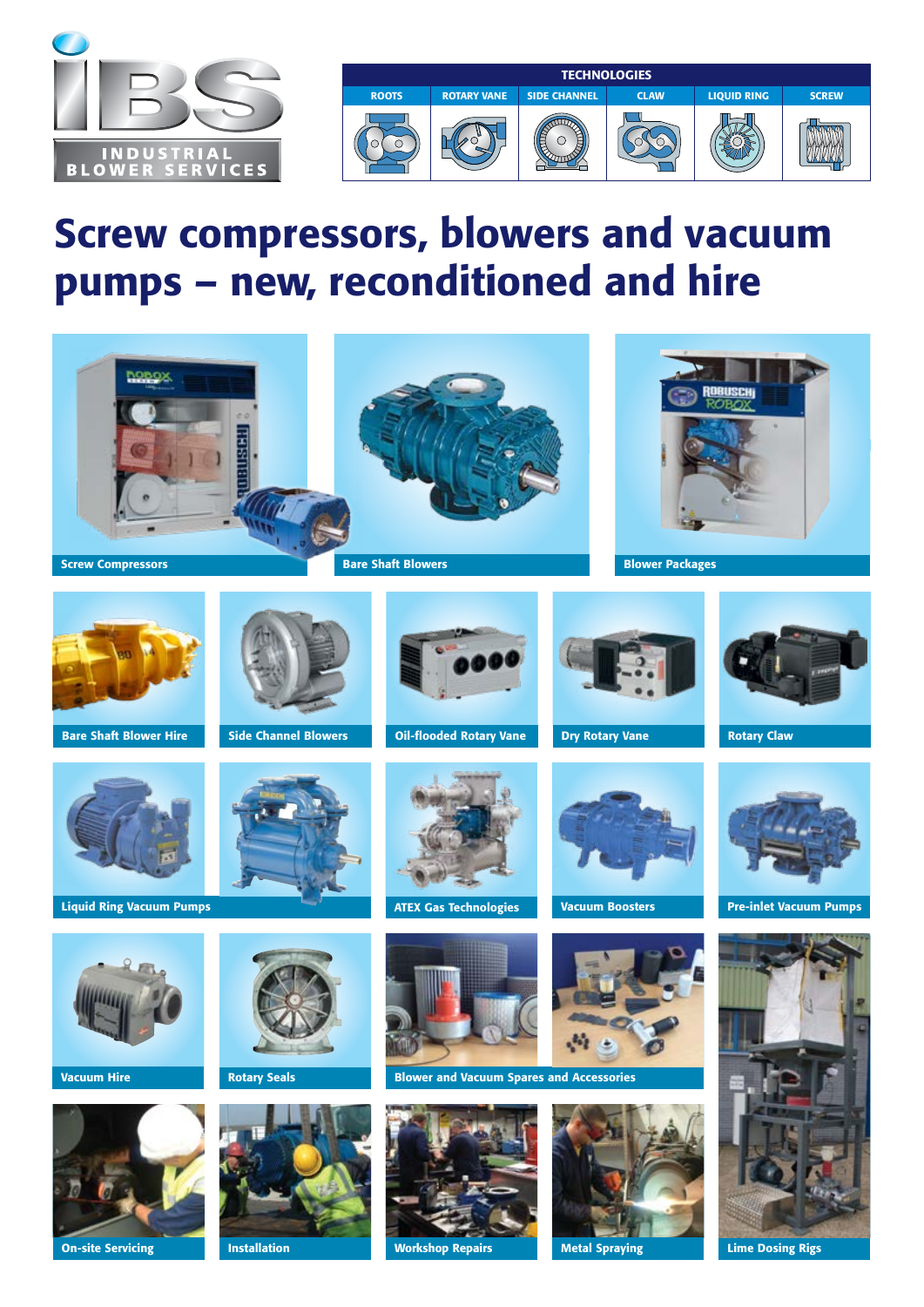

# Screw compressors, blowers and vacuum pumps – new, reconditioned and hire



On-site Servicing **Metal Spraying** Metal Spraying Metal Spraying

Lime Dosing Rigs